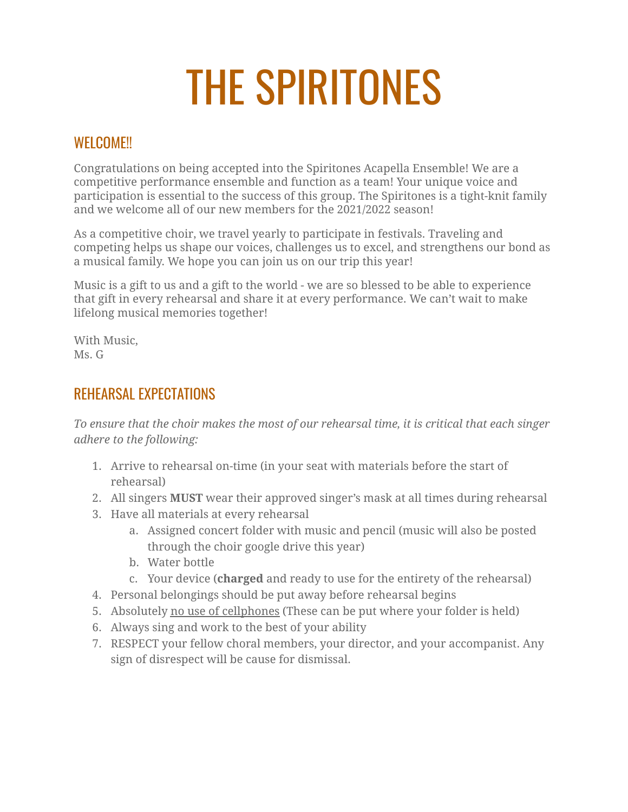## THE SPIRITONES

## WEI COME!!

Congratulations on being accepted into the Spiritones Acapella Ensemble! We are a competitive performance ensemble and function as a team! Your unique voice and participation is essential to the success of this group. The Spiritones is a tight-knit family and we welcome all of our new members for the 2021/2022 season!

As a competitive choir, we travel yearly to participate in festivals. Traveling and competing helps us shape our voices, challenges us to excel, and strengthens our bond as a musical family. We hope you can join us on our trip this year!

Music is a gift to us and a gift to the world - we are so blessed to be able to experience that gift in every rehearsal and share it at every performance. We can't wait to make lifelong musical memories together!

With Music, Ms. G

## REHEARSAL EXPECTATIONS

*To ensure that the choir makes the most of our rehearsal time, it is critical that each singer adhere to the following:*

- 1. Arrive to rehearsal on-time (in your seat with materials before the start of rehearsal)
- 2. All singers **MUST** wear their approved singer's mask at all times during rehearsal
- 3. Have all materials at every rehearsal
	- a. Assigned concert folder with music and pencil (music will also be posted through the choir google drive this year)
	- b. Water bottle
	- c. Your device (**charged** and ready to use for the entirety of the rehearsal)
- 4. Personal belongings should be put away before rehearsal begins
- 5. Absolutely no use of cellphones (These can be put where your folder is held)
- 6. Always sing and work to the best of your ability
- 7. RESPECT your fellow choral members, your director, and your accompanist. Any sign of disrespect will be cause for dismissal.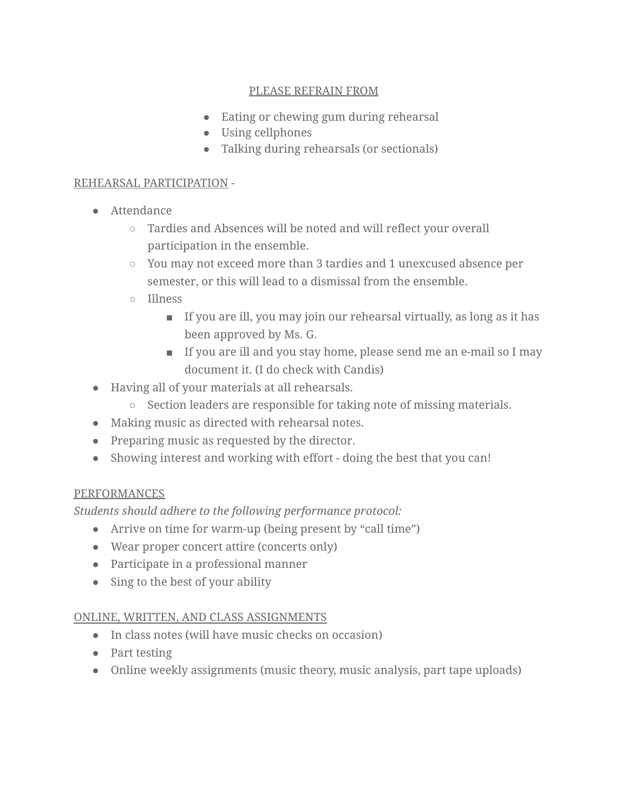#### PLEASE REFRAIN FROM

- Eating or chewing gum during rehearsal
- Using cellphones
- Talking during rehearsals (or sectionals)

#### REHEARSAL PARTICIPATION -

- *●* Attendance
	- *○* Tardies and Absences will be noted and will reflect your overall participation in the ensemble.
	- You may not exceed more than 3 tardies and 1 unexcused absence per semester, or this will lead to a dismissal from the ensemble.
	- Illness
		- If you are ill, you may join our rehearsal virtually, as long as it has been approved by Ms. G.
		- If you are ill and you stay home, please send me an e-mail so I may document it. (I do check with Candis)
- Having all of your materials at all rehearsals.
	- Section leaders are responsible for taking note of missing materials.
- *●* Making music as directed with rehearsal notes.
- Preparing music as requested by the director.
- Showing interest and working with effort doing the best that you can!

#### PERFORMANCES

*Students should adhere to the following performance protocol:*

- Arrive on time for warm-up (being present by "call time")
- Wear proper concert attire (concerts only)
- Participate in a professional manner
- Sing to the best of your ability

#### ONLINE, WRITTEN, AND CLASS ASSIGNMENTS

- In class notes (will have music checks on occasion)
- Part testing
- Online weekly assignments (music theory, music analysis, part tape uploads)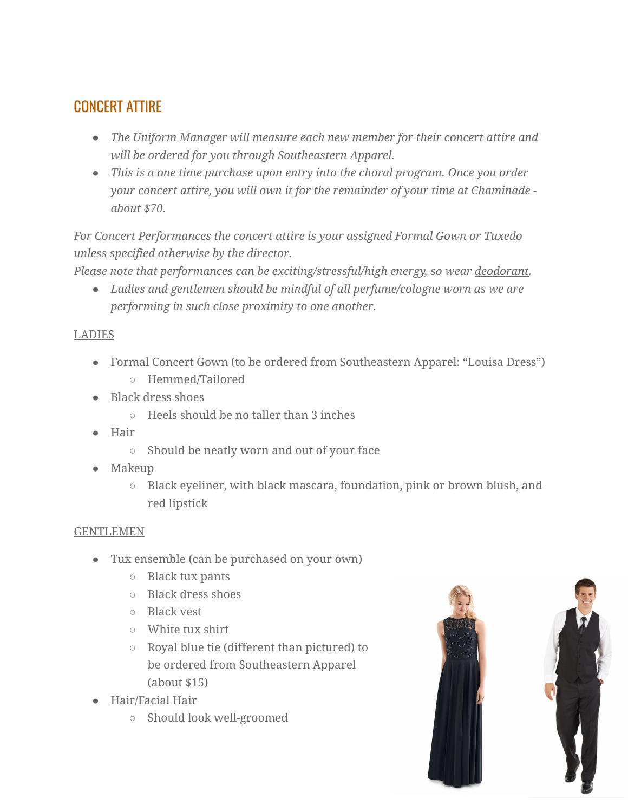## CONCERT ATTIRE

- *● The Uniform Manager will measure each new member for their concert attire and will be ordered for you through Southeastern Apparel.*
- *● This is a one time purchase upon entry into the choral program. Once you order your concert attire, you will own it for the remainder of your time at Chaminade about \$70.*

*For Concert Performances the concert attire is your assigned Formal Gown or Tuxedo unless specified otherwise by the director.*

*Please note that performances can be exciting/stressful/high energy, so wear deodorant.*

*● Ladies and gentlemen should be mindful of all perfume/cologne worn as we are performing in such close proximity to one another.*

## LADIES

- Formal Concert Gown (to be ordered from Southeastern Apparel: "Louisa Dress")
	- Hemmed/Tailored
- Black dress shoes
	- Heels should be no taller than 3 inches
- Hair
	- Should be neatly worn and out of your face
- Makeup
	- Black eyeliner, with black mascara, foundation, pink or brown blush, and red lipstick

## GENTLEMEN

- Tux ensemble (can be purchased on your own)
	- Black tux pants
	- Black dress shoes
	- Black vest
	- White tux shirt
	- Royal blue tie (different than pictured) to be ordered from Southeastern Apparel (about \$15)
- Hair/Facial Hair
	- Should look well-groomed

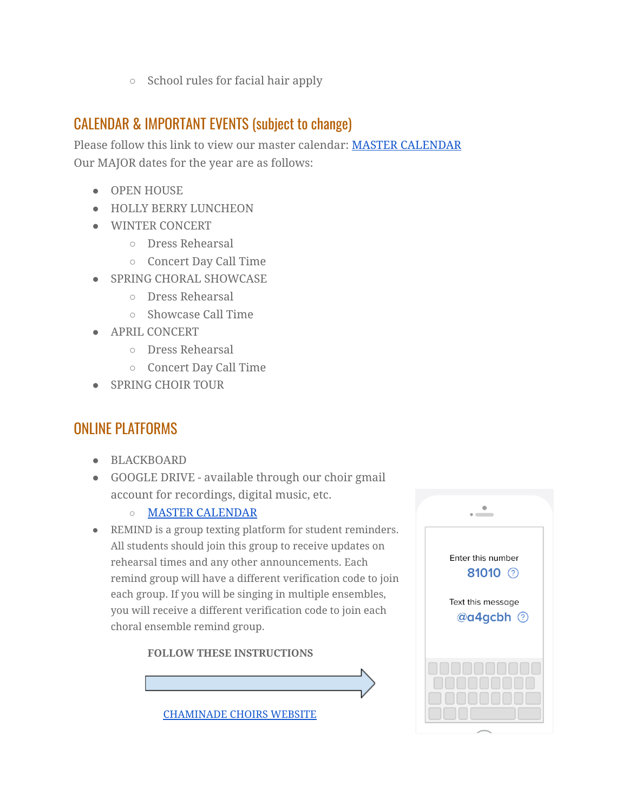○ School rules for facial hair apply

## CALENDAR & IMPORTANT EVENTS (subject to change)

Please follow this link to view our master calendar: MASTER [CALENDAR](http://www.chaminadechoirs.org/master-calendar.html) Our MAJOR dates for the year are as follows:

- OPEN HOUSE
- HOLLY BERRY LUNCHEON
- WINTER CONCERT
	- Dress Rehearsal
	- Concert Day Call Time
- SPRING CHORAL SHOWCASE
	- Dress Rehearsal
	- Showcase Call Time
- APRIL CONCERT
	- Dress Rehearsal
	- Concert Day Call Time
- SPRING CHOIR TOUR

## ONLINE PLATFORMS

- BLACKBOARD
- GOOGLE DRIVE available through our choir gmail account for recordings, digital music, etc.
	- **○** MASTER [CALENDAR](http://www.chaminadechoirs.org/master-calendar.html)
- REMIND is a group texting platform for student reminders. All students should join this group to receive updates on rehearsal times and any other announcements. Each remind group will have a different verification code to join each group. If you will be singing in multiple ensembles, you will receive a different verification code to join each choral ensemble remind group.

#### **FOLLOW THESE INSTRUCTIONS**